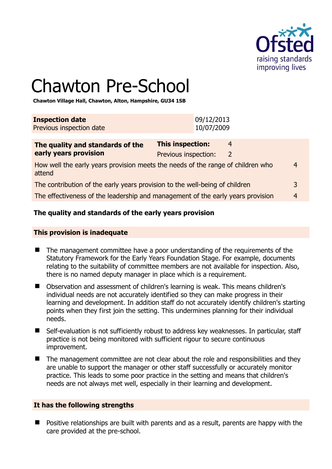

# Chawton Pre-School

**Chawton Village Hall, Chawton, Alton, Hampshire, GU34 1SB** 

| <b>Inspection date</b>   | 09/12/2013 |
|--------------------------|------------|
| Previous inspection date | 10/07/2009 |
|                          |            |

| The quality and standards of the                                                          | <b>This inspection:</b><br>4 |               |                |
|-------------------------------------------------------------------------------------------|------------------------------|---------------|----------------|
| early years provision                                                                     | Previous inspection:         | $\mathcal{L}$ |                |
| How well the early years provision meets the needs of the range of children who<br>attend |                              |               | 4              |
| The contribution of the early years provision to the well-being of children               |                              | 3             |                |
| The effectiveness of the leadership and management of the early years provision           |                              |               | $\overline{4}$ |
|                                                                                           |                              |               |                |

# **The quality and standards of the early years provision**

#### **This provision is inadequate**

- The management committee have a poor understanding of the requirements of the Statutory Framework for the Early Years Foundation Stage. For example, documents relating to the suitability of committee members are not available for inspection. Also, there is no named deputy manager in place which is a requirement.
- Observation and assessment of children's learning is weak. This means children's individual needs are not accurately identified so they can make progress in their learning and development. In addition staff do not accurately identify children's starting points when they first join the setting. This undermines planning for their individual needs.
- Self-evaluation is not sufficiently robust to address key weaknesses. In particular, staff practice is not being monitored with sufficient rigour to secure continuous improvement.
- The management committee are not clear about the role and responsibilities and they are unable to support the manager or other staff successfully or accurately monitor practice. This leads to some poor practice in the setting and means that children's needs are not always met well, especially in their learning and development.

#### **It has the following strengths**

**Positive relationships are built with parents and as a result, parents are happy with the** care provided at the pre-school.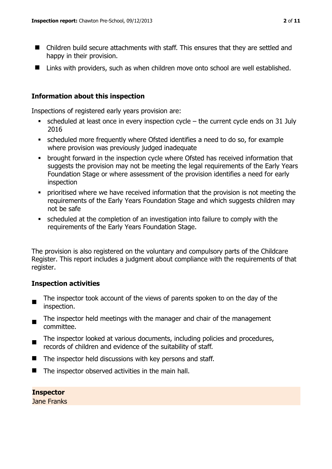- Children build secure attachments with staff. This ensures that they are settled and happy in their provision.
- Links with providers, such as when children move onto school are well established.

#### **Information about this inspection**

Inspections of registered early years provision are:

- scheduled at least once in every inspection cycle the current cycle ends on 31 July 2016
- scheduled more frequently where Ofsted identifies a need to do so, for example where provision was previously judged inadequate
- brought forward in the inspection cycle where Ofsted has received information that suggests the provision may not be meeting the legal requirements of the Early Years Foundation Stage or where assessment of the provision identifies a need for early inspection
- prioritised where we have received information that the provision is not meeting the requirements of the Early Years Foundation Stage and which suggests children may not be safe
- scheduled at the completion of an investigation into failure to comply with the requirements of the Early Years Foundation Stage.

The provision is also registered on the voluntary and compulsory parts of the Childcare Register. This report includes a judgment about compliance with the requirements of that register.

#### **Inspection activities**

- $\blacksquare$ The inspector took account of the views of parents spoken to on the day of the inspection.
- $\blacksquare$ The inspector held meetings with the manager and chair of the management committee.
- The inspector looked at various documents, including policies and procedures, records of children and evidence of the suitability of staff.
- $\blacksquare$  The inspector held discussions with key persons and staff.
- $\blacksquare$  The inspector observed activities in the main hall.

# **Inspector**

Jane Franks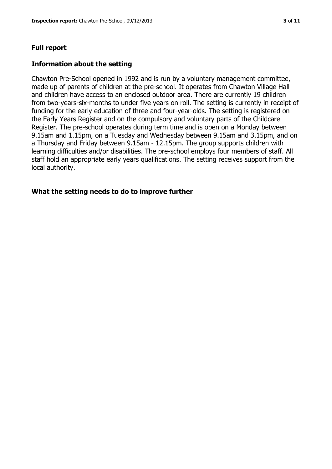#### **Full report**

#### **Information about the setting**

Chawton Pre-School opened in 1992 and is run by a voluntary management committee, made up of parents of children at the pre-school. It operates from Chawton Village Hall and children have access to an enclosed outdoor area. There are currently 19 children from two-years-six-months to under five years on roll. The setting is currently in receipt of funding for the early education of three and four-year-olds. The setting is registered on the Early Years Register and on the compulsory and voluntary parts of the Childcare Register. The pre-school operates during term time and is open on a Monday between 9.15am and 1.15pm, on a Tuesday and Wednesday between 9.15am and 3.15pm, and on a Thursday and Friday between 9.15am - 12.15pm. The group supports children with learning difficulties and/or disabilities. The pre-school employs four members of staff. All staff hold an appropriate early years qualifications. The setting receives support from the local authority.

#### **What the setting needs to do to improve further**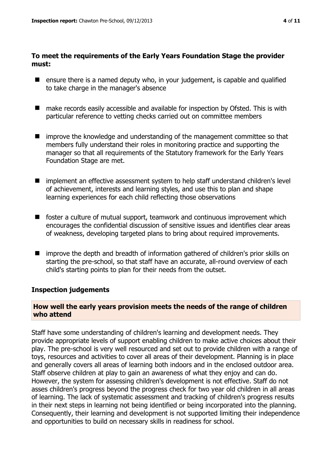#### **To meet the requirements of the Early Years Foundation Stage the provider must:**

- ensure there is a named deputy who, in your judgement, is capable and qualified to take charge in the manager's absence
- make records easily accessible and available for inspection by Ofsted. This is with particular reference to vetting checks carried out on committee members
- improve the knowledge and understanding of the management committee so that members fully understand their roles in monitoring practice and supporting the manager so that all requirements of the Statutory framework for the Early Years Foundation Stage are met.
- implement an effective assessment system to help staff understand children's level of achievement, interests and learning styles, and use this to plan and shape learning experiences for each child reflecting those observations
- $\blacksquare$  foster a culture of mutual support, teamwork and continuous improvement which encourages the confidential discussion of sensitive issues and identifies clear areas of weakness, developing targeted plans to bring about required improvements.
- improve the depth and breadth of information gathered of children's prior skills on starting the pre-school, so that staff have an accurate, all-round overview of each child's starting points to plan for their needs from the outset.

#### **Inspection judgements**

#### **How well the early years provision meets the needs of the range of children who attend**

Staff have some understanding of children's learning and development needs. They provide appropriate levels of support enabling children to make active choices about their play. The pre-school is very well resourced and set out to provide children with a range of toys, resources and activities to cover all areas of their development. Planning is in place and generally covers all areas of learning both indoors and in the enclosed outdoor area. Staff observe children at play to gain an awareness of what they enjoy and can do. However, the system for assessing children's development is not effective. Staff do not asses children's progress beyond the progress check for two year old children in all areas of learning. The lack of systematic assessment and tracking of children's progress results in their next steps in learning not being identified or being incorporated into the planning. Consequently, their learning and development is not supported limiting their independence and opportunities to build on necessary skills in readiness for school.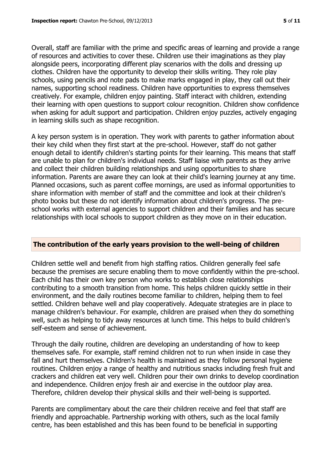Overall, staff are familiar with the prime and specific areas of learning and provide a range of resources and activities to cover these. Children use their imaginations as they play alongside peers, incorporating different play scenarios with the dolls and dressing up clothes. Children have the opportunity to develop their skills writing. They role play schools, using pencils and note pads to make marks engaged in play, they call out their names, supporting school readiness. Children have opportunities to express themselves creatively. For example, children enjoy painting. Staff interact with children, extending their learning with open questions to support colour recognition. Children show confidence when asking for adult support and participation. Children enjoy puzzles, actively engaging in learning skills such as shape recognition.

A key person system is in operation. They work with parents to gather information about their key child when they first start at the pre-school. However, staff do not gather enough detail to identify children's starting points for their learning. This means that staff are unable to plan for children's individual needs. Staff liaise with parents as they arrive and collect their children building relationships and using opportunities to share information. Parents are aware they can look at their child's learning journey at any time. Planned occasions, such as parent coffee mornings, are used as informal opportunities to share information with member of staff and the committee and look at their children's photo books but these do not identify information about children's progress. The preschool works with external agencies to support children and their families and has secure relationships with local schools to support children as they move on in their education.

#### **The contribution of the early years provision to the well-being of children**

Children settle well and benefit from high staffing ratios. Children generally feel safe because the premises are secure enabling them to move confidently within the pre-school. Each child has their own key person who works to establish close relationships contributing to a smooth transition from home. This helps children quickly settle in their environment, and the daily routines become familiar to children, helping them to feel settled. Children behave well and play cooperatively. Adequate strategies are in place to manage children's behaviour. For example, children are praised when they do something well, such as helping to tidy away resources at lunch time. This helps to build children's self-esteem and sense of achievement.

Through the daily routine, children are developing an understanding of how to keep themselves safe. For example, staff remind children not to run when inside in case they fall and hurt themselves. Children's health is maintained as they follow personal hygiene routines. Children enjoy a range of healthy and nutritious snacks including fresh fruit and crackers and children eat very well. Children pour their own drinks to develop coordination and independence. Children enjoy fresh air and exercise in the outdoor play area. Therefore, children develop their physical skills and their well-being is supported.

Parents are complimentary about the care their children receive and feel that staff are friendly and approachable. Partnership working with others, such as the local family centre, has been established and this has been found to be beneficial in supporting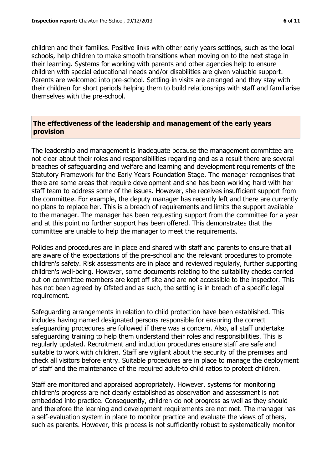children and their families. Positive links with other early years settings, such as the local schools, help children to make smooth transitions when moving on to the next stage in their learning. Systems for working with parents and other agencies help to ensure children with special educational needs and/or disabilities are given valuable support. Parents are welcomed into pre-school. Settling-in visits are arranged and they stay with their children for short periods helping them to build relationships with staff and familiarise themselves with the pre-school.

#### **The effectiveness of the leadership and management of the early years provision**

The leadership and management is inadequate because the management committee are not clear about their roles and responsibilities regarding and as a result there are several breaches of safeguarding and welfare and learning and development requirements of the Statutory Framework for the Early Years Foundation Stage. The manager recognises that there are some areas that require development and she has been working hard with her staff team to address some of the issues. However, she receives insufficient support from the committee. For example, the deputy manager has recently left and there are currently no plans to replace her. This is a breach of requirements and limits the support available to the manager. The manager has been requesting support from the committee for a year and at this point no further support has been offered. This demonstrates that the committee are unable to help the manager to meet the requirements.

Policies and procedures are in place and shared with staff and parents to ensure that all are aware of the expectations of the pre-school and the relevant procedures to promote children's safety. Risk assessments are in place and reviewed regularly, further supporting children's well-being. However, some documents relating to the suitability checks carried out on committee members are kept off site and are not accessible to the inspector. This has not been agreed by Ofsted and as such, the setting is in breach of a specific legal requirement.

Safeguarding arrangements in relation to child protection have been established. This includes having named designated persons responsible for ensuring the correct safeguarding procedures are followed if there was a concern. Also, all staff undertake safeguarding training to help them understand their roles and responsibilities. This is regularly updated. Recruitment and induction procedures ensure staff are safe and suitable to work with children. Staff are vigilant about the security of the premises and check all visitors before entry. Suitable procedures are in place to manage the deployment of staff and the maintenance of the required adult-to child ratios to protect children.

Staff are monitored and appraised appropriately. However, systems for monitoring children's progress are not clearly established as observation and assessment is not embedded into practice. Consequently, children do not progress as well as they should and therefore the learning and development requirements are not met. The manager has a self-evaluation system in place to monitor practice and evaluate the views of others, such as parents. However, this process is not sufficiently robust to systematically monitor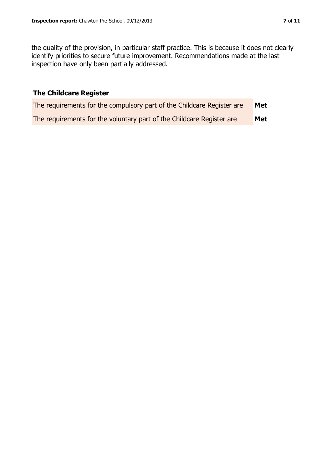the quality of the provision, in particular staff practice. This is because it does not clearly identify priorities to secure future improvement. Recommendations made at the last inspection have only been partially addressed.

## **The Childcare Register**

| The requirements for the compulsory part of the Childcare Register are | Met |
|------------------------------------------------------------------------|-----|
| The requirements for the voluntary part of the Childcare Register are  | Met |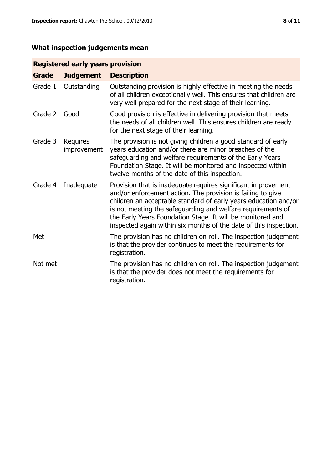# **What inspection judgements mean**

## **Registered early years provision**

| <b>Grade</b> | <b>Judgement</b>        | <b>Description</b>                                                                                                                                                                                                                                                                                                                                                                                |
|--------------|-------------------------|---------------------------------------------------------------------------------------------------------------------------------------------------------------------------------------------------------------------------------------------------------------------------------------------------------------------------------------------------------------------------------------------------|
| Grade 1      | Outstanding             | Outstanding provision is highly effective in meeting the needs<br>of all children exceptionally well. This ensures that children are<br>very well prepared for the next stage of their learning.                                                                                                                                                                                                  |
| Grade 2      | Good                    | Good provision is effective in delivering provision that meets<br>the needs of all children well. This ensures children are ready<br>for the next stage of their learning.                                                                                                                                                                                                                        |
| Grade 3      | Requires<br>improvement | The provision is not giving children a good standard of early<br>years education and/or there are minor breaches of the<br>safeguarding and welfare requirements of the Early Years<br>Foundation Stage. It will be monitored and inspected within<br>twelve months of the date of this inspection.                                                                                               |
| Grade 4      | Inadequate              | Provision that is inadequate requires significant improvement<br>and/or enforcement action. The provision is failing to give<br>children an acceptable standard of early years education and/or<br>is not meeting the safeguarding and welfare requirements of<br>the Early Years Foundation Stage. It will be monitored and<br>inspected again within six months of the date of this inspection. |
| Met          |                         | The provision has no children on roll. The inspection judgement<br>is that the provider continues to meet the requirements for<br>registration.                                                                                                                                                                                                                                                   |
| Not met      |                         | The provision has no children on roll. The inspection judgement<br>is that the provider does not meet the requirements for<br>registration.                                                                                                                                                                                                                                                       |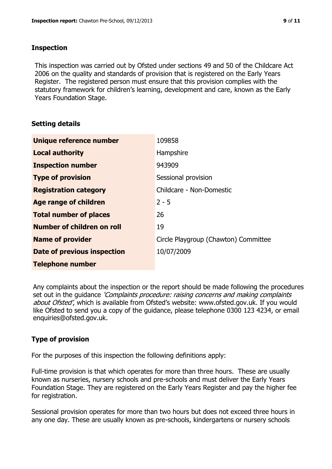#### **Inspection**

This inspection was carried out by Ofsted under sections 49 and 50 of the Childcare Act 2006 on the quality and standards of provision that is registered on the Early Years Register. The registered person must ensure that this provision complies with the statutory framework for children's learning, development and care, known as the Early Years Foundation Stage.

#### **Setting details**

| Unique reference number            | 109858                               |
|------------------------------------|--------------------------------------|
| <b>Local authority</b>             | Hampshire                            |
| <b>Inspection number</b>           | 943909                               |
| <b>Type of provision</b>           | Sessional provision                  |
| <b>Registration category</b>       | Childcare - Non-Domestic             |
| Age range of children              | $2 - 5$                              |
| <b>Total number of places</b>      | 26                                   |
| Number of children on roll         | 19                                   |
| <b>Name of provider</b>            | Circle Playgroup (Chawton) Committee |
| <b>Date of previous inspection</b> | 10/07/2009                           |
| <b>Telephone number</b>            |                                      |

Any complaints about the inspection or the report should be made following the procedures set out in the guidance *'Complaints procedure: raising concerns and making complaints* about Ofsted', which is available from Ofsted's website: www.ofsted.gov.uk. If you would like Ofsted to send you a copy of the guidance, please telephone 0300 123 4234, or email enquiries@ofsted.gov.uk.

# **Type of provision**

For the purposes of this inspection the following definitions apply:

Full-time provision is that which operates for more than three hours. These are usually known as nurseries, nursery schools and pre-schools and must deliver the Early Years Foundation Stage. They are registered on the Early Years Register and pay the higher fee for registration.

Sessional provision operates for more than two hours but does not exceed three hours in any one day. These are usually known as pre-schools, kindergartens or nursery schools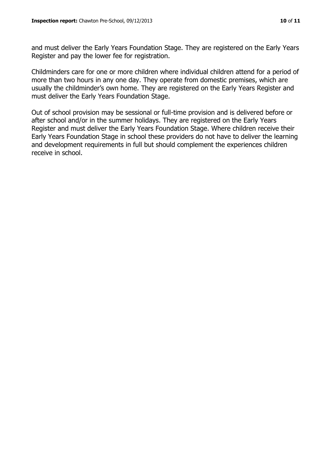and must deliver the Early Years Foundation Stage. They are registered on the Early Years Register and pay the lower fee for registration.

Childminders care for one or more children where individual children attend for a period of more than two hours in any one day. They operate from domestic premises, which are usually the childminder's own home. They are registered on the Early Years Register and must deliver the Early Years Foundation Stage.

Out of school provision may be sessional or full-time provision and is delivered before or after school and/or in the summer holidays. They are registered on the Early Years Register and must deliver the Early Years Foundation Stage. Where children receive their Early Years Foundation Stage in school these providers do not have to deliver the learning and development requirements in full but should complement the experiences children receive in school.